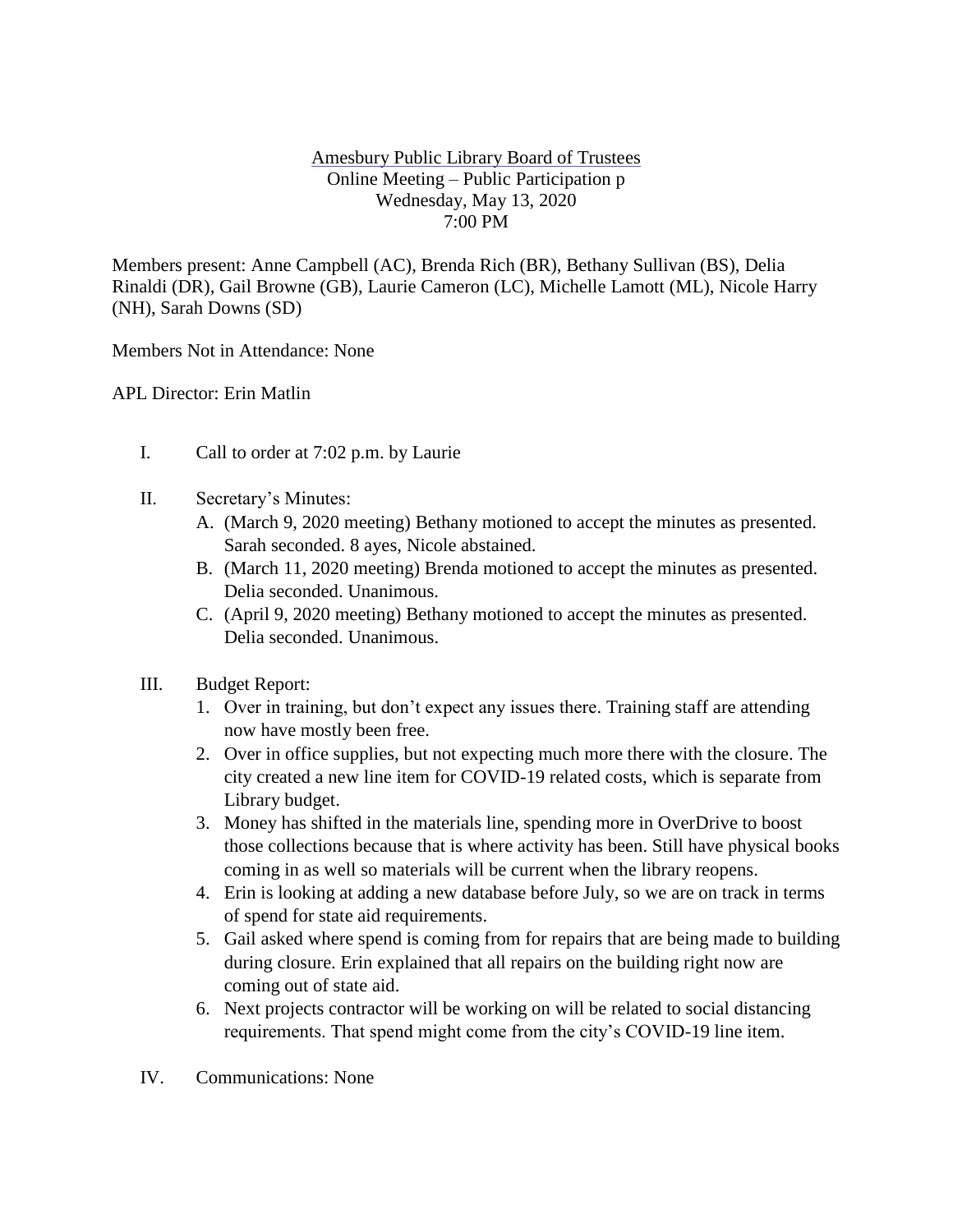## Amesbury Public Library Board of Trustees Online Meeting – Public Participation p Wednesday, May 13, 2020 7:00 PM

Members present: Anne Campbell (AC), Brenda Rich (BR), Bethany Sullivan (BS), Delia Rinaldi (DR), Gail Browne (GB), Laurie Cameron (LC), Michelle Lamott (ML), Nicole Harry (NH), Sarah Downs (SD)

Members Not in Attendance: None

APL Director: Erin Matlin

- I. Call to order at 7:02 p.m. by Laurie
- II. Secretary's Minutes:
	- A. (March 9, 2020 meeting) Bethany motioned to accept the minutes as presented. Sarah seconded. 8 ayes, Nicole abstained.
	- B. (March 11, 2020 meeting) Brenda motioned to accept the minutes as presented. Delia seconded. Unanimous.
	- C. (April 9, 2020 meeting) Bethany motioned to accept the minutes as presented. Delia seconded. Unanimous.
- III. Budget Report:
	- 1. Over in training, but don't expect any issues there. Training staff are attending now have mostly been free.
	- 2. Over in office supplies, but not expecting much more there with the closure. The city created a new line item for COVID-19 related costs, which is separate from Library budget.
	- 3. Money has shifted in the materials line, spending more in OverDrive to boost those collections because that is where activity has been. Still have physical books coming in as well so materials will be current when the library reopens.
	- 4. Erin is looking at adding a new database before July, so we are on track in terms of spend for state aid requirements.
	- 5. Gail asked where spend is coming from for repairs that are being made to building during closure. Erin explained that all repairs on the building right now are coming out of state aid.
	- 6. Next projects contractor will be working on will be related to social distancing requirements. That spend might come from the city's COVID-19 line item.
- IV. Communications: None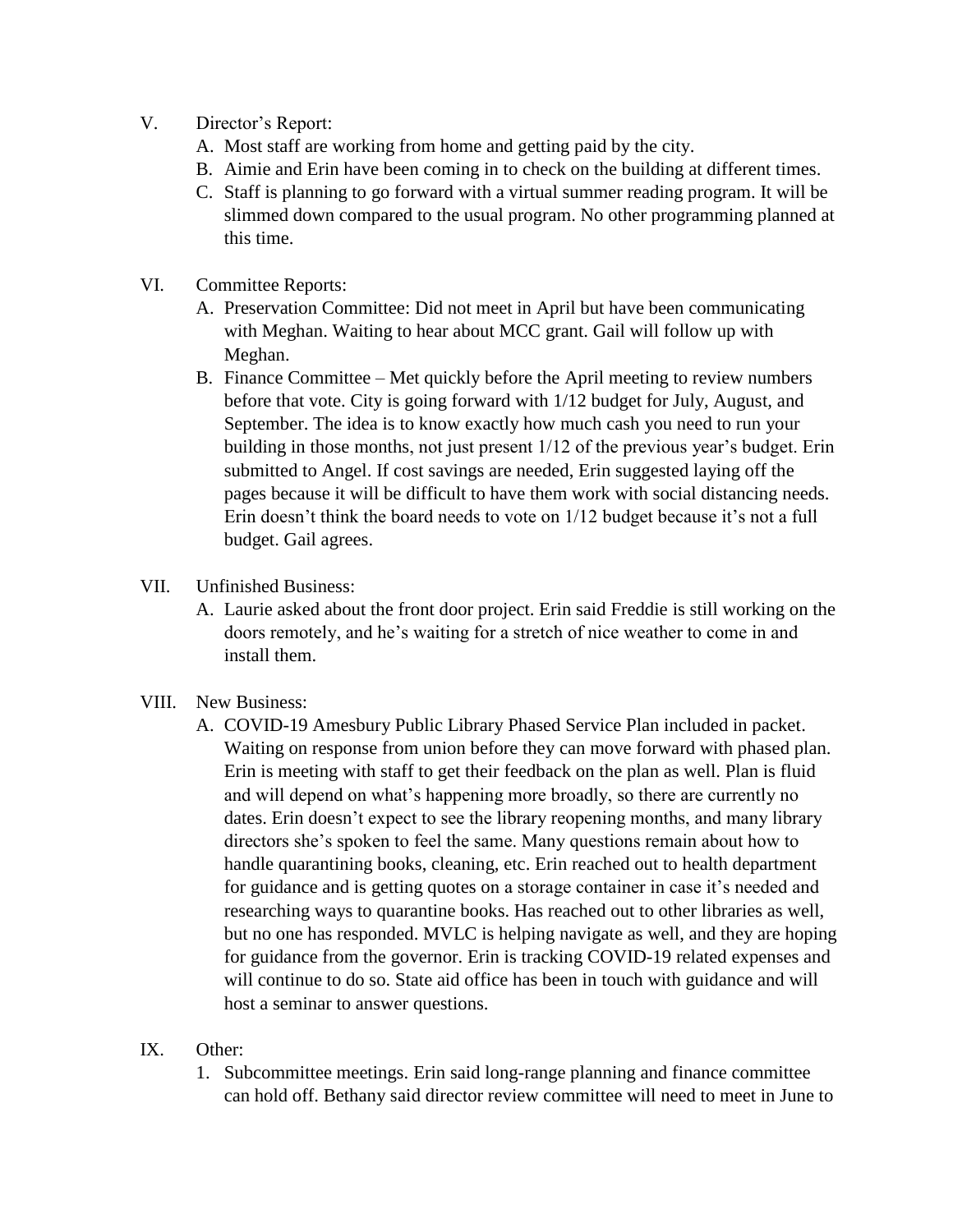- V. Director's Report:
	- A. Most staff are working from home and getting paid by the city.
	- B. Aimie and Erin have been coming in to check on the building at different times.
	- C. Staff is planning to go forward with a virtual summer reading program. It will be slimmed down compared to the usual program. No other programming planned at this time.
- VI. Committee Reports:
	- A. Preservation Committee: Did not meet in April but have been communicating with Meghan. Waiting to hear about MCC grant. Gail will follow up with Meghan.
	- B. Finance Committee Met quickly before the April meeting to review numbers before that vote. City is going forward with 1/12 budget for July, August, and September. The idea is to know exactly how much cash you need to run your building in those months, not just present 1/12 of the previous year's budget. Erin submitted to Angel. If cost savings are needed, Erin suggested laying off the pages because it will be difficult to have them work with social distancing needs. Erin doesn't think the board needs to vote on 1/12 budget because it's not a full budget. Gail agrees.

## VII. Unfinished Business:

- A. Laurie asked about the front door project. Erin said Freddie is still working on the doors remotely, and he's waiting for a stretch of nice weather to come in and install them.
- VIII. New Business:
	- A. COVID-19 Amesbury Public Library Phased Service Plan included in packet. Waiting on response from union before they can move forward with phased plan. Erin is meeting with staff to get their feedback on the plan as well. Plan is fluid and will depend on what's happening more broadly, so there are currently no dates. Erin doesn't expect to see the library reopening months, and many library directors she's spoken to feel the same. Many questions remain about how to handle quarantining books, cleaning, etc. Erin reached out to health department for guidance and is getting quotes on a storage container in case it's needed and researching ways to quarantine books. Has reached out to other libraries as well, but no one has responded. MVLC is helping navigate as well, and they are hoping for guidance from the governor. Erin is tracking COVID-19 related expenses and will continue to do so. State aid office has been in touch with guidance and will host a seminar to answer questions.

## IX. Other:

1. Subcommittee meetings. Erin said long-range planning and finance committee can hold off. Bethany said director review committee will need to meet in June to